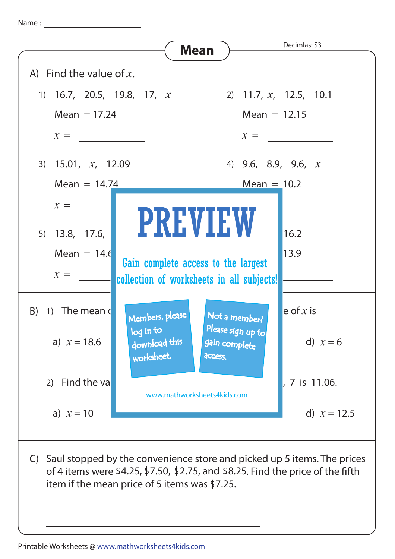Name :